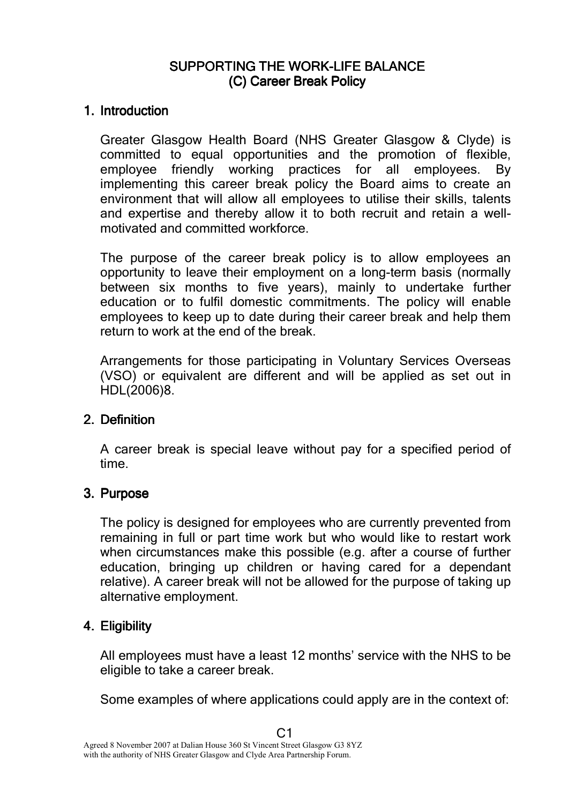# SUPPORTING THE WORK-LIFE BALANCE (C) Career Break Policy

#### 1. Introduction

Greater Glasgow Health Board (NHS Greater Glasgow & Clyde) is committed to equal opportunities and the promotion of flexible, employee friendly working practices for all employees. By implementing this career break policy the Board aims to create an environment that will allow all employees to utilise their skills, talents and expertise and thereby allow it to both recruit and retain a wellmotivated and committed workforce.

The purpose of the career break policy is to allow employees an opportunity to leave their employment on a long-term basis (normally between six months to five years), mainly to undertake further education or to fulfil domestic commitments. The policy will enable employees to keep up to date during their career break and help them return to work at the end of the break.

Arrangements for those participating in Voluntary Services Overseas (VSO) or equivalent are different and will be applied as set out in HDL(2006)8.

## 2. Definition

A career break is special leave without pay for a specified period of time.

## 3. Purpose

The policy is designed for employees who are currently prevented from remaining in full or part time work but who would like to restart work when circumstances make this possible (e.g. after a course of further education, bringing up children or having cared for a dependant relative). A career break will not be allowed for the purpose of taking up alternative employment.

## 4. Eligibility

All employees must have a least 12 months' service with the NHS to be eligible to take a career break.

Some examples of where applications could apply are in the context of: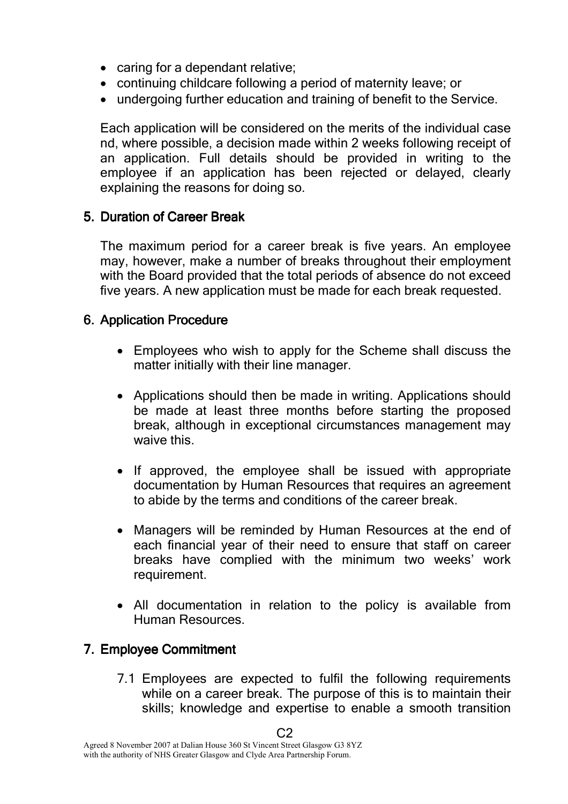- caring for a dependant relative;
- continuing childcare following a period of maternity leave; or
- undergoing further education and training of benefit to the Service.

Each application will be considered on the merits of the individual case nd, where possible, a decision made within 2 weeks following receipt of an application. Full details should be provided in writing to the employee if an application has been rejected or delayed, clearly explaining the reasons for doing so.

# 5. Duration of Career Break

The maximum period for a career break is five years. An employee may, however, make a number of breaks throughout their employment with the Board provided that the total periods of absence do not exceed five years. A new application must be made for each break requested.

# 6. Application Procedure

- Employees who wish to apply for the Scheme shall discuss the matter initially with their line manager.
- Applications should then be made in writing. Applications should be made at least three months before starting the proposed break, although in exceptional circumstances management may waive this.
- If approved, the employee shall be issued with appropriate documentation by Human Resources that requires an agreement to abide by the terms and conditions of the career break.
- Managers will be reminded by Human Resources at the end of each financial year of their need to ensure that staff on career breaks have complied with the minimum two weeks' work requirement.
- All documentation in relation to the policy is available from Human Resources.

# 7. Employee Commitment

7.1 Employees are expected to fulfil the following requirements while on a career break. The purpose of this is to maintain their skills; knowledge and expertise to enable a smooth transition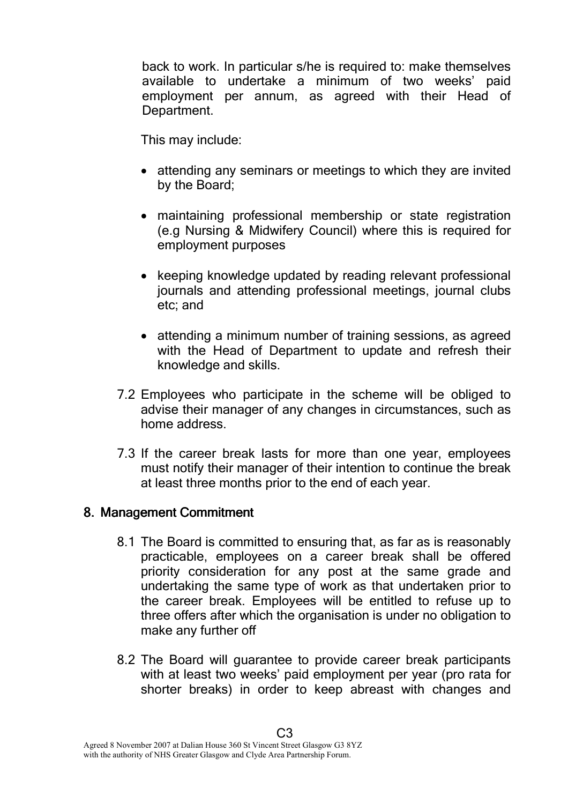back to work. In particular s/he is required to: make themselves available to undertake a minimum of two weeks' paid employment per annum, as agreed with their Head of Department.

This may include:

- attending any seminars or meetings to which they are invited by the Board;
- maintaining professional membership or state registration (e.g Nursing & Midwifery Council) where this is required for employment purposes
- keeping knowledge updated by reading relevant professional journals and attending professional meetings, journal clubs etc; and
- attending a minimum number of training sessions, as agreed with the Head of Department to update and refresh their knowledge and skills.
- 7.2 Employees who participate in the scheme will be obliged to advise their manager of any changes in circumstances, such as home address.
- 7.3 If the career break lasts for more than one year, employees must notify their manager of their intention to continue the break at least three months prior to the end of each year.

# 8. Management Commitment

- 8.1 The Board is committed to ensuring that, as far as is reasonably practicable, employees on a career break shall be offered priority consideration for any post at the same grade and undertaking the same type of work as that undertaken prior to the career break. Employees will be entitled to refuse up to three offers after which the organisation is under no obligation to make any further off
- 8.2 The Board will guarantee to provide career break participants with at least two weeks' paid employment per year (pro rata for shorter breaks) in order to keep abreast with changes and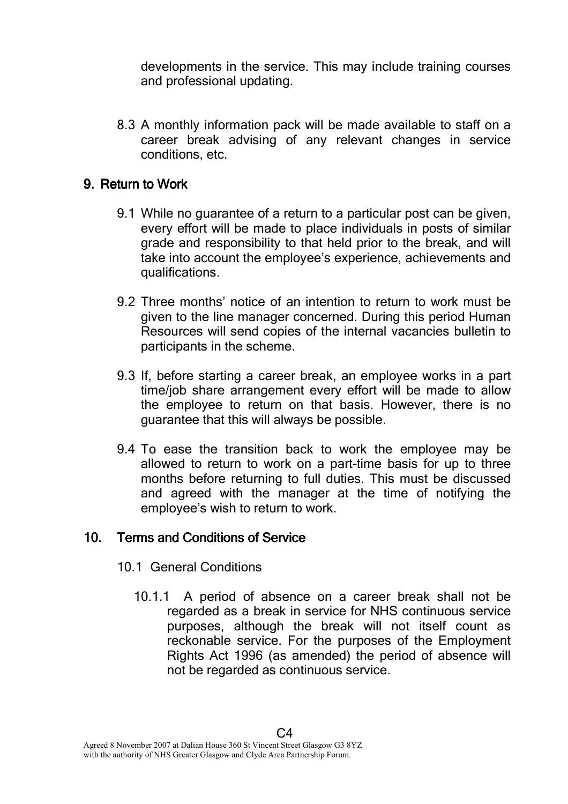developments in the service. This may include training courses and professional updating.

8.3 A monthly information pack will be made available to staff on a career break advising of any relevant changes in service conditions, etc.

## 9. Return to Work

- 9.1 While no guarantee of a return to a particular post can be given, every effort will be made to place individuals in posts of similar grade and responsibility to that held prior to the break, and will take into account the employee's experience, achievements and qualifications.
- 9.2 Three months' notice of an intention to return to work must be given to the line manager concerned. During this period Human Resources will send copies of the internal vacancies bulletin to participants in the scheme.
- 9.3 If, before starting a career break, an employee works in a part time/job share arrangement every effort will be made to allow the employee to return on that basis. However, there is no guarantee that this will always be possible.
- 9.4 To ease the transition back to work the employee may be allowed to return to work on a part-time basis for up to three months before returning to full duties. This must be discussed and agreed with the manager at the time of notifying the employee's wish to return to work.

## 10. Terms and Conditions of Service

- 10.1 General Conditions
	- 10.1.1 A period of absence on a career break shall not be regarded as a break in service for NHS continuous service purposes, although the break will not itself count as reckonable service. For the purposes of the Employment Rights Act 1996 (as amended) the period of absence will not be regarded as continuous service.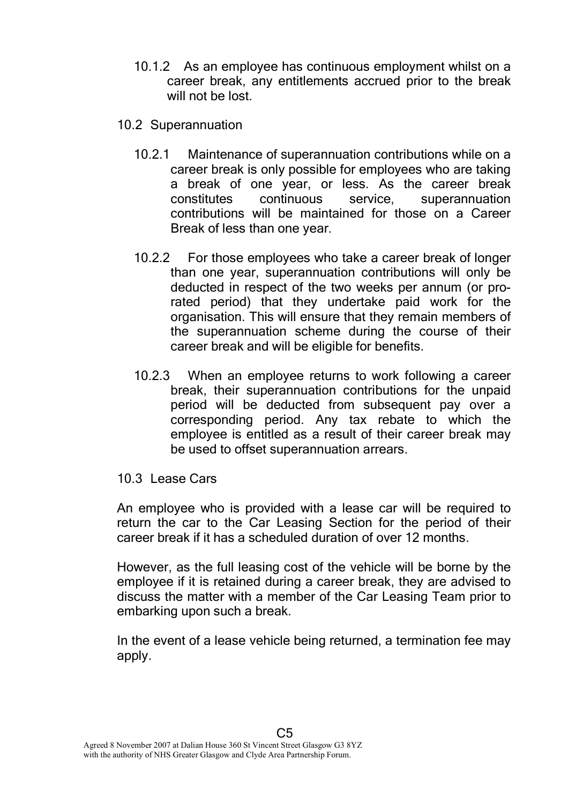- 10.1.2 As an employee has continuous employment whilst on a career break, any entitlements accrued prior to the break will not be lost.
- 10.2 Superannuation
	- 10.2.1 Maintenance of superannuation contributions while on a career break is only possible for employees who are taking a break of one year, or less. As the career break constitutes continuous service, superannuation contributions will be maintained for those on a Career Break of less than one year.
	- 10.2.2 For those employees who take a career break of longer than one year, superannuation contributions will only be deducted in respect of the two weeks per annum (or prorated period) that they undertake paid work for the organisation. This will ensure that they remain members of the superannuation scheme during the course of their career break and will be eligible for benefits.
	- 10.2.3 When an employee returns to work following a career break, their superannuation contributions for the unpaid period will be deducted from subsequent pay over a corresponding period. Any tax rebate to which the employee is entitled as a result of their career break may be used to offset superannuation arrears.

#### 10.3 Lease Cars

An employee who is provided with a lease car will be required to return the car to the Car Leasing Section for the period of their career break if it has a scheduled duration of over 12 months.

However, as the full leasing cost of the vehicle will be borne by the employee if it is retained during a career break, they are advised to discuss the matter with a member of the Car Leasing Team prior to embarking upon such a break.

In the event of a lease vehicle being returned, a termination fee may apply.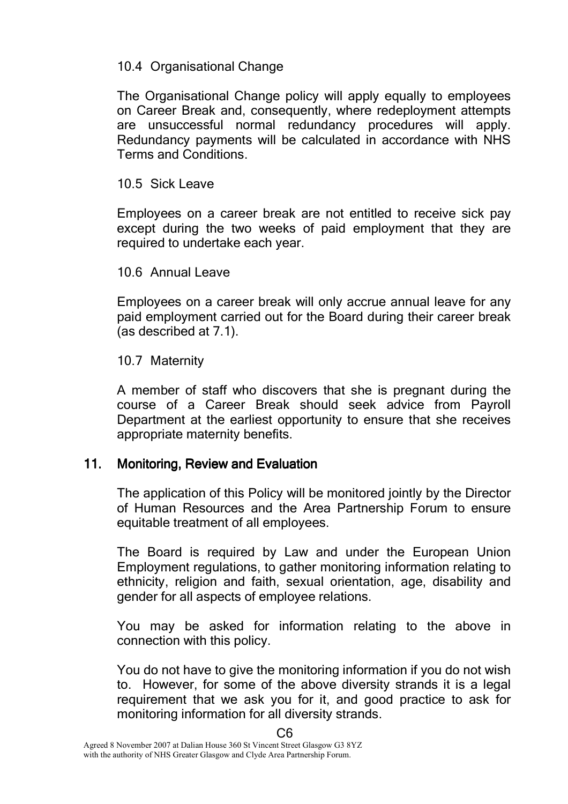### 10.4 Organisational Change

The Organisational Change policy will apply equally to employees on Career Break and, consequently, where redeployment attempts are unsuccessful normal redundancy procedures will apply. Redundancy payments will be calculated in accordance with NHS Terms and Conditions.

### 10.5 Sick Leave

Employees on a career break are not entitled to receive sick pay except during the two weeks of paid employment that they are required to undertake each year.

### 10.6 Annual Leave

Employees on a career break will only accrue annual leave for any paid employment carried out for the Board during their career break (as described at 7.1).

### 10.7 Maternity

A member of staff who discovers that she is pregnant during the course of a Career Break should seek advice from Payroll Department at the earliest opportunity to ensure that she receives appropriate maternity benefits.

## 11. Monitoring, Review and Evaluation

The application of this Policy will be monitored jointly by the Director of Human Resources and the Area Partnership Forum to ensure equitable treatment of all employees.

The Board is required by Law and under the European Union Employment regulations, to gather monitoring information relating to ethnicity, religion and faith, sexual orientation, age, disability and gender for all aspects of employee relations.

You may be asked for information relating to the above in connection with this policy.

You do not have to give the monitoring information if you do not wish to. However, for some of the above diversity strands it is a legal requirement that we ask you for it, and good practice to ask for monitoring information for all diversity strands.